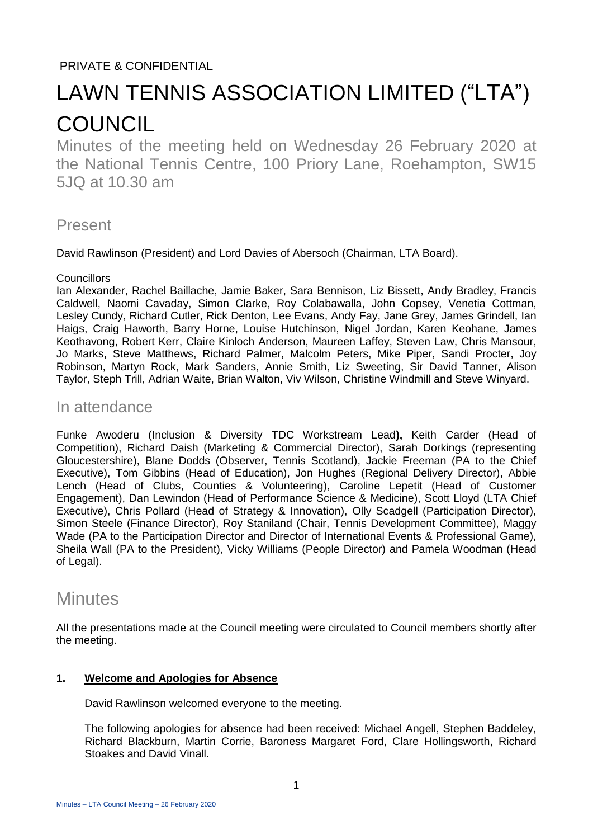## PRIVATE & CONFIDENTIAL

# LAWN TENNIS ASSOCIATION LIMITED ("LTA") **COUNCIL**

Minutes of the meeting held on Wednesday 26 February 2020 at the National Tennis Centre, 100 Priory Lane, Roehampton, SW15 5JQ at 10.30 am

# Present

David Rawlinson (President) and Lord Davies of Abersoch (Chairman, LTA Board).

#### **Councillors**

Ian Alexander, Rachel Baillache, Jamie Baker, Sara Bennison, Liz Bissett, Andy Bradley, Francis Caldwell, Naomi Cavaday, Simon Clarke, Roy Colabawalla, John Copsey, Venetia Cottman, Lesley Cundy, Richard Cutler, Rick Denton, Lee Evans, Andy Fay, Jane Grey, James Grindell, Ian Haigs, Craig Haworth, Barry Horne, Louise Hutchinson, Nigel Jordan, Karen Keohane, James Keothavong, Robert Kerr, Claire Kinloch Anderson, Maureen Laffey, Steven Law, Chris Mansour, Jo Marks, Steve Matthews, Richard Palmer, Malcolm Peters, Mike Piper, Sandi Procter, Joy Robinson, Martyn Rock, Mark Sanders, Annie Smith, Liz Sweeting, Sir David Tanner, Alison Taylor, Steph Trill, Adrian Waite, Brian Walton, Viv Wilson, Christine Windmill and Steve Winyard.

### In attendance

Funke Awoderu (Inclusion & Diversity TDC Workstream Lead**),** Keith Carder (Head of Competition), Richard Daish (Marketing & Commercial Director), Sarah Dorkings (representing Gloucestershire), Blane Dodds (Observer, Tennis Scotland), Jackie Freeman (PA to the Chief Executive), Tom Gibbins (Head of Education), Jon Hughes (Regional Delivery Director), Abbie Lench (Head of Clubs, Counties & Volunteering), Caroline Lepetit (Head of Customer Engagement), Dan Lewindon (Head of Performance Science & Medicine), Scott Lloyd (LTA Chief Executive), Chris Pollard (Head of Strategy & Innovation), Olly Scadgell (Participation Director), Simon Steele (Finance Director), Roy Staniland (Chair, Tennis Development Committee), Maggy Wade (PA to the Participation Director and Director of International Events & Professional Game), Sheila Wall (PA to the President), Vicky Williams (People Director) and Pamela Woodman (Head of Legal).

# **Minutes**

All the presentations made at the Council meeting were circulated to Council members shortly after the meeting.

#### **1. Welcome and Apologies for Absence**

David Rawlinson welcomed everyone to the meeting.

The following apologies for absence had been received: Michael Angell, Stephen Baddeley, Richard Blackburn, Martin Corrie, Baroness Margaret Ford, Clare Hollingsworth, Richard Stoakes and David Vinall.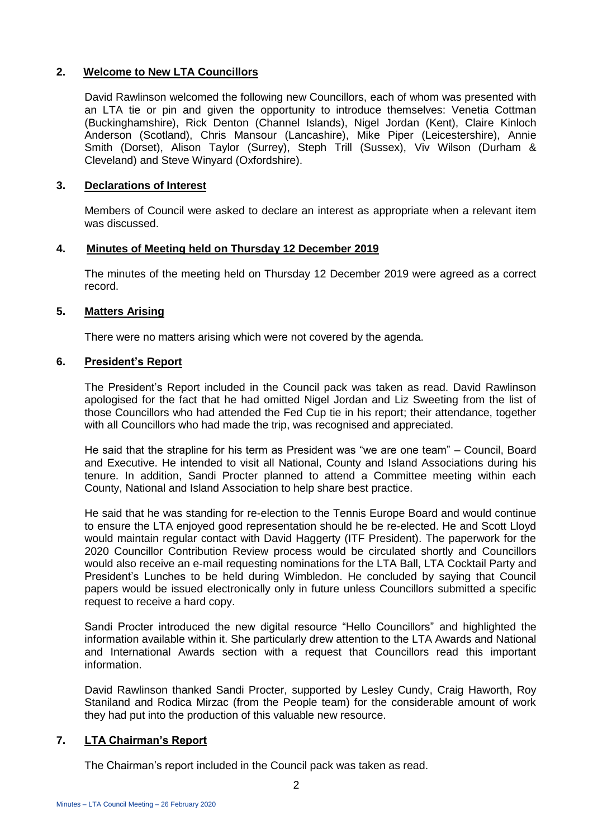#### **2. Welcome to New LTA Councillors**

David Rawlinson welcomed the following new Councillors, each of whom was presented with an LTA tie or pin and given the opportunity to introduce themselves: Venetia Cottman (Buckinghamshire), Rick Denton (Channel Islands), Nigel Jordan (Kent), Claire Kinloch Anderson (Scotland), Chris Mansour (Lancashire), Mike Piper (Leicestershire), Annie Smith (Dorset), Alison Taylor (Surrey), Steph Trill (Sussex), Viv Wilson (Durham & Cleveland) and Steve Winyard (Oxfordshire).

#### **3. Declarations of Interest**

Members of Council were asked to declare an interest as appropriate when a relevant item was discussed.

#### **4. Minutes of Meeting held on Thursday 12 December 2019**

The minutes of the meeting held on Thursday 12 December 2019 were agreed as a correct record.

#### **5. Matters Arising**

There were no matters arising which were not covered by the agenda.

#### **6. President's Report**

The President's Report included in the Council pack was taken as read. David Rawlinson apologised for the fact that he had omitted Nigel Jordan and Liz Sweeting from the list of those Councillors who had attended the Fed Cup tie in his report; their attendance, together with all Councillors who had made the trip, was recognised and appreciated.

He said that the strapline for his term as President was "we are one team" – Council, Board and Executive. He intended to visit all National, County and Island Associations during his tenure. In addition, Sandi Procter planned to attend a Committee meeting within each County, National and Island Association to help share best practice.

He said that he was standing for re-election to the Tennis Europe Board and would continue to ensure the LTA enjoyed good representation should he be re-elected. He and Scott Lloyd would maintain regular contact with David Haggerty (ITF President). The paperwork for the 2020 Councillor Contribution Review process would be circulated shortly and Councillors would also receive an e-mail requesting nominations for the LTA Ball, LTA Cocktail Party and President's Lunches to be held during Wimbledon. He concluded by saying that Council papers would be issued electronically only in future unless Councillors submitted a specific request to receive a hard copy.

Sandi Procter introduced the new digital resource "Hello Councillors" and highlighted the information available within it. She particularly drew attention to the LTA Awards and National and International Awards section with a request that Councillors read this important information.

David Rawlinson thanked Sandi Procter, supported by Lesley Cundy, Craig Haworth, Roy Staniland and Rodica Mirzac (from the People team) for the considerable amount of work they had put into the production of this valuable new resource.

#### **7. LTA Chairman's Report**

The Chairman's report included in the Council pack was taken as read.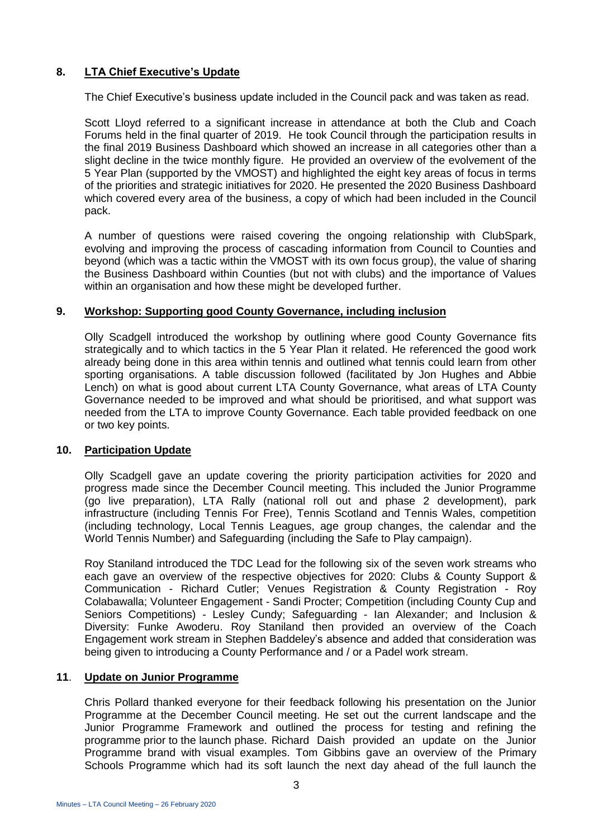#### **8. LTA Chief Executive's Update**

The Chief Executive's business update included in the Council pack and was taken as read.

Scott Lloyd referred to a significant increase in attendance at both the Club and Coach Forums held in the final quarter of 2019. He took Council through the participation results in the final 2019 Business Dashboard which showed an increase in all categories other than a slight decline in the twice monthly figure. He provided an overview of the evolvement of the 5 Year Plan (supported by the VMOST) and highlighted the eight key areas of focus in terms of the priorities and strategic initiatives for 2020. He presented the 2020 Business Dashboard which covered every area of the business, a copy of which had been included in the Council pack.

A number of questions were raised covering the ongoing relationship with ClubSpark, evolving and improving the process of cascading information from Council to Counties and beyond (which was a tactic within the VMOST with its own focus group), the value of sharing the Business Dashboard within Counties (but not with clubs) and the importance of Values within an organisation and how these might be developed further.

#### **9. Workshop: Supporting good County Governance, including inclusion**

Olly Scadgell introduced the workshop by outlining where good County Governance fits strategically and to which tactics in the 5 Year Plan it related. He referenced the good work already being done in this area within tennis and outlined what tennis could learn from other sporting organisations. A table discussion followed (facilitated by Jon Hughes and Abbie Lench) on what is good about current LTA County Governance, what areas of LTA County Governance needed to be improved and what should be prioritised, and what support was needed from the LTA to improve County Governance. Each table provided feedback on one or two key points.

#### **10. Participation Update**

Olly Scadgell gave an update covering the priority participation activities for 2020 and progress made since the December Council meeting. This included the Junior Programme (go live preparation), LTA Rally (national roll out and phase 2 development), park infrastructure (including Tennis For Free), Tennis Scotland and Tennis Wales, competition (including technology, Local Tennis Leagues, age group changes, the calendar and the World Tennis Number) and Safeguarding (including the Safe to Play campaign).

Roy Staniland introduced the TDC Lead for the following six of the seven work streams who each gave an overview of the respective objectives for 2020: Clubs & County Support & Communication - Richard Cutler; Venues Registration & County Registration - Roy Colabawalla; Volunteer Engagement - Sandi Procter; Competition (including County Cup and Seniors Competitions) - Lesley Cundy; Safeguarding - Ian Alexander; and Inclusion & Diversity: Funke Awoderu. Roy Staniland then provided an overview of the Coach Engagement work stream in Stephen Baddeley's absence and added that consideration was being given to introducing a County Performance and / or a Padel work stream.

#### **11**. **Update on Junior Programme**

Chris Pollard thanked everyone for their feedback following his presentation on the Junior Programme at the December Council meeting. He set out the current landscape and the Junior Programme Framework and outlined the process for testing and refining the programme prior to the launch phase. Richard Daish provided an update on the Junior Programme brand with visual examples. Tom Gibbins gave an overview of the Primary Schools Programme which had its soft launch the next day ahead of the full launch the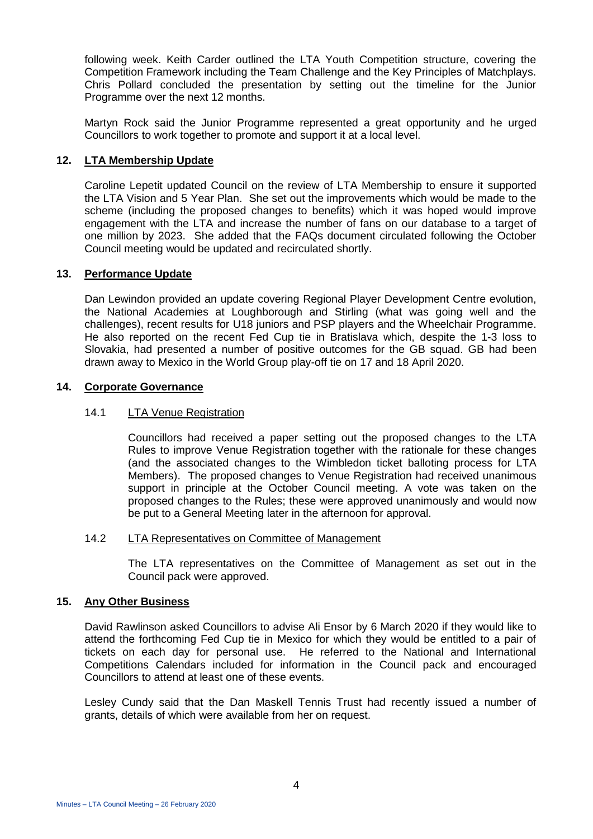following week. Keith Carder outlined the LTA Youth Competition structure, covering the Competition Framework including the Team Challenge and the Key Principles of Matchplays. Chris Pollard concluded the presentation by setting out the timeline for the Junior Programme over the next 12 months.

Martyn Rock said the Junior Programme represented a great opportunity and he urged Councillors to work together to promote and support it at a local level.

#### **12. LTA Membership Update**

Caroline Lepetit updated Council on the review of LTA Membership to ensure it supported the LTA Vision and 5 Year Plan. She set out the improvements which would be made to the scheme (including the proposed changes to benefits) which it was hoped would improve engagement with the LTA and increase the number of fans on our database to a target of one million by 2023. She added that the FAQs document circulated following the October Council meeting would be updated and recirculated shortly.

#### **13. Performance Update**

Dan Lewindon provided an update covering Regional Player Development Centre evolution, the National Academies at Loughborough and Stirling (what was going well and the challenges), recent results for U18 juniors and PSP players and the Wheelchair Programme. He also reported on the recent Fed Cup tie in Bratislava which, despite the 1-3 loss to Slovakia, had presented a number of positive outcomes for the GB squad. GB had been drawn away to Mexico in the World Group play-off tie on 17 and 18 April 2020.

#### **14. Corporate Governance**

#### 14.1 LTA Venue Registration

Councillors had received a paper setting out the proposed changes to the LTA Rules to improve Venue Registration together with the rationale for these changes (and the associated changes to the Wimbledon ticket balloting process for LTA Members). The proposed changes to Venue Registration had received unanimous support in principle at the October Council meeting. A vote was taken on the proposed changes to the Rules; these were approved unanimously and would now be put to a General Meeting later in the afternoon for approval.

#### 14.2 LTA Representatives on Committee of Management

The LTA representatives on the Committee of Management as set out in the Council pack were approved.

#### **15. Any Other Business**

David Rawlinson asked Councillors to advise Ali Ensor by 6 March 2020 if they would like to attend the forthcoming Fed Cup tie in Mexico for which they would be entitled to a pair of tickets on each day for personal use. He referred to the National and International Competitions Calendars included for information in the Council pack and encouraged Councillors to attend at least one of these events.

Lesley Cundy said that the Dan Maskell Tennis Trust had recently issued a number of grants, details of which were available from her on request.